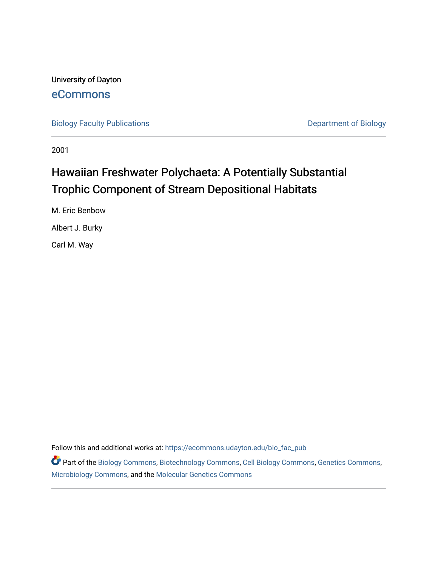University of Dayton [eCommons](https://ecommons.udayton.edu/)

[Biology Faculty Publications](https://ecommons.udayton.edu/bio_fac_pub) **Department of Biology** 

2001

# Hawaiian Freshwater Polychaeta: A Potentially Substantial Trophic Component of Stream Depositional Habitats

M. Eric Benbow

Albert J. Burky

Carl M. Way

Follow this and additional works at: [https://ecommons.udayton.edu/bio\\_fac\\_pub](https://ecommons.udayton.edu/bio_fac_pub?utm_source=ecommons.udayton.edu%2Fbio_fac_pub%2F300&utm_medium=PDF&utm_campaign=PDFCoverPages) 

Part of the [Biology Commons,](http://network.bepress.com/hgg/discipline/41?utm_source=ecommons.udayton.edu%2Fbio_fac_pub%2F300&utm_medium=PDF&utm_campaign=PDFCoverPages) [Biotechnology Commons](http://network.bepress.com/hgg/discipline/111?utm_source=ecommons.udayton.edu%2Fbio_fac_pub%2F300&utm_medium=PDF&utm_campaign=PDFCoverPages), [Cell Biology Commons](http://network.bepress.com/hgg/discipline/10?utm_source=ecommons.udayton.edu%2Fbio_fac_pub%2F300&utm_medium=PDF&utm_campaign=PDFCoverPages), [Genetics Commons](http://network.bepress.com/hgg/discipline/29?utm_source=ecommons.udayton.edu%2Fbio_fac_pub%2F300&utm_medium=PDF&utm_campaign=PDFCoverPages), [Microbiology Commons](http://network.bepress.com/hgg/discipline/48?utm_source=ecommons.udayton.edu%2Fbio_fac_pub%2F300&utm_medium=PDF&utm_campaign=PDFCoverPages), and the [Molecular Genetics Commons](http://network.bepress.com/hgg/discipline/31?utm_source=ecommons.udayton.edu%2Fbio_fac_pub%2F300&utm_medium=PDF&utm_campaign=PDFCoverPages)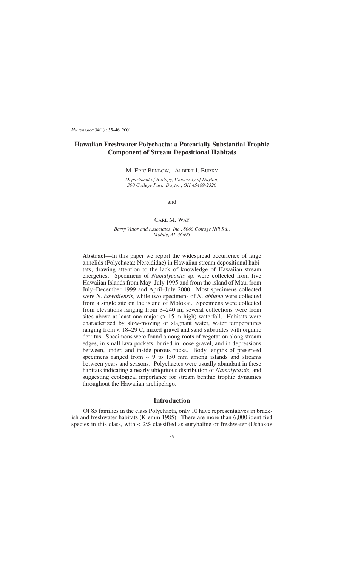*Micronesica* 34(1) : 35–46, 2001

## **Hawaiian Freshwater Polychaeta: a Potentially Substantial Trophic Component of Stream Depositional Habitats**

M. ERIC BENBOW, ALBERT J. BURKY

*Department of Biology, University of Dayton, 300 College Park, Dayton, OH 45469-2320*

and

## CARL M. WAY

*Barry Vittor and Associates, Inc., 8060 Cottage Hill Rd., Mobile, AL 36695*

**Abstract**—In this paper we report the widespread occurrence of large annelids (Polychaeta: Nereididae) in Hawaiian stream depositional habitats, drawing attention to the lack of knowledge of Hawaiian stream energetics. Specimens of *Namalycastis* sp. were collected from five Hawaiian Islands from May–July 1995 and from the island of Maui from July–December 1999 and April–July 2000. Most specimens collected were *N*. *hawaiiensis,* while two specimens of *N*. *abiuma* were collected from a single site on the island of Molokai. Specimens were collected from elevations ranging from 3–240 m; several collections were from sites above at least one major (> 15 m high) waterfall. Habitats were characterized by slow-moving or stagnant water, water temperatures ranging from < 18–29 C, mixed gravel and sand substrates with organic detritus. Specimens were found among roots of vegetation along stream edges, in small lava pockets, buried in loose gravel, and in depressions between, under, and inside porous rocks. Body lengths of preserved specimens ranged from  $\sim$  9 to 150 mm among islands and streams between years and seasons. Polychaetes were usually abundant in these habitats indicating a nearly ubiquitous distribution of *Namalycastis,* and suggesting ecological importance for stream benthic trophic dynamics throughout the Hawaiian archipelago.

## **Introduction**

Of 85 families in the class Polychaeta, only 10 have representatives in brackish and freshwater habitats (Klemm 1985). There are more than 6,000 identified species in this class, with  $\lt 2\%$  classified as euryhaline or freshwater (Ushakov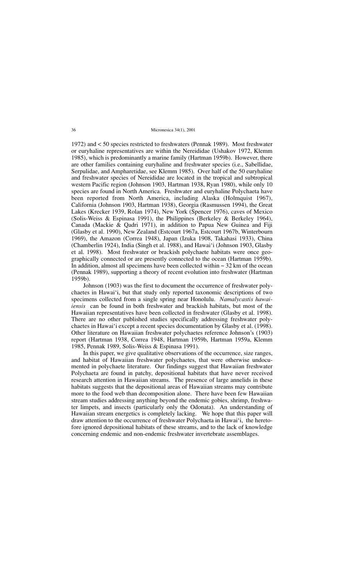1972) and < 50 species restricted to freshwaters (Pennak 1989). Most freshwater or euryhaline representatives are within the Nereididae (Ushakov 1972, Klemm 1985), which is predominantly a marine family (Hartman 1959b). However, there are other families containing euryhaline and freshwater species (i.e., Sabellidae, Serpulidae, and Ampharetidae, see Klemm 1985). Over half of the 50 euryhaline and freshwater species of Nereididae are located in the tropical and subtropical western Pacific region (Johnson 1903, Hartman 1938, Ryan 1980), while only 10 species are found in North America. Freshwater and euryhaline Polychaeta have been reported from North America, including Alaska (Holmquist 1967), California (Johnson 1903, Hartman 1938), Georgia (Rasmussen 1994), the Great Lakes (Krecker 1939, Rolan 1974), New York (Spencer 1976), caves of Mexico (Solis-Weiss & Espinasa 1991), the Philippines (Berkeley & Berkeley 1964), Canada (Mackie & Qadri 1971), in addition to Papua New Guinea and Fiji (Glasby et al. 1990), New Zealand (Estcourt 1967a, Estcourt 1967b, Winterbourn 1969), the Amazon (Correa 1948), Japan (Izuka 1908, Takahasi 1933), China (Chamberlin 1924), India (Singh et al. 1988), and Hawai'i (Johnson 1903, Glasby et al. 1998). Most freshwater or brackish polychaete habitats were once geographically connected or are presently connected to the ocean (Hartman 1959b). In addition, almost all specimens have been collected within  $\sim$  32 km of the ocean (Pennak 1989), supporting a theory of recent evolution into freshwater (Hartman 1959b).

Johnson (1903) was the first to document the occurrence of freshwater polychaetes in Hawai'i, but that study only reported taxonomic descriptions of two specimens collected from a single spring near Honolulu. *Namalycastis hawaiiensis* can be found in both freshwater and brackish habitats, but most of the Hawaiian representatives have been collected in freshwater (Glasby et al. 1998). There are no other published studies specifically addressing freshwater polychaetes in Hawai'i except a recent species documentation by Glasby et al. (1998). Other literature on Hawaiian freshwater polychaetes reference Johnson's (1903) report (Hartman 1938, Correa 1948, Hartman 1959b, Hartman 1959a, Klemm 1985, Pennak 1989, Solis-Weiss & Espinasa 1991).

In this paper, we give qualitative observations of the occurrence, size ranges, and habitat of Hawaiian freshwater polychaetes, that were otherwise undocumented in polychaete literature. Our findings suggest that Hawaiian freshwater Polychaeta are found in patchy, depositional habitats that have never received research attention in Hawaiian streams. The presence of large annelids in these habitats suggests that the depositional areas of Hawaiian streams may contribute more to the food web than decomposition alone. There have been few Hawaiian stream studies addressing anything beyond the endemic gobies, shrimp, freshwater limpets, and insects (particularly only the Odonata). An understanding of Hawaiian stream energetics is completely lacking. We hope that this paper will draw attention to the occurrence of freshwater Polychaeta in Hawai'i, the heretofore ignored depositional habitats of these streams, and to the lack of knowledge concerning endemic and non-endemic freshwater invertebrate assemblages.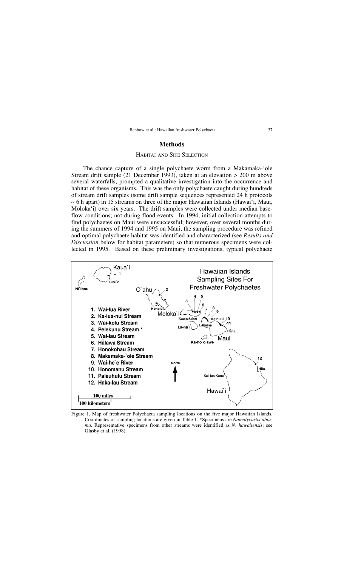## **Methods**

## HABITAT AND SITE SELECTION

The chance capture of a single polychaete worm from a Makamaka-'ole Stream drift sample (21 December 1993), taken at an elevation > 200 m above several waterfalls, prompted a qualitative investigation into the occurrence and habitat of these organisms. This was the only polychaete caught during hundreds of stream drift samples (some drift sample sequences represented 24 h protocols  $\sim$  6 h apart) in 15 streams on three of the major Hawaiian Islands (Hawai'i, Maui, Moloka'i) over six years. The drift samples were collected under median baseflow conditions; not during flood events. In 1994, initial collection attempts to find polychaetes on Maui were unsuccessful; however, over several months during the summers of 1994 and 1995 on Maui, the sampling procedure was refined and optimal polychaete habitat was identified and characterized (see *Results and Discussion* below for habitat parameters) so that numerous specimens were collected in 1995. Based on these preliminary investigations, typical polychaete



Figure 1. Map of freshwater Polychaeta sampling locations on the five major Hawaiian Islands. Coordinates of sampling locations are given in Table 1. \*Specimens are *Namalycastis abiuma.* Representative specimens from other streams were identified as *N. hawaiiensis*; see Glasby et al. (1998).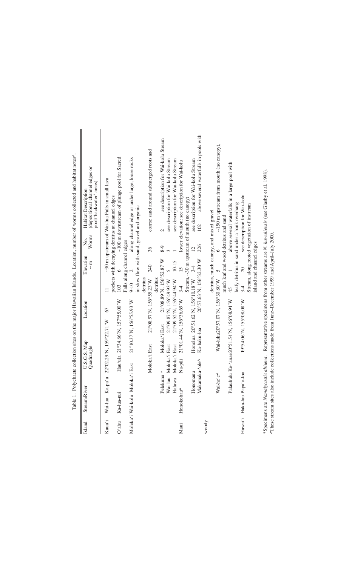| Island | Stream/River                                                                                 | U.S.G.S. Map<br>Quadrangle |                         | Location                                  |                                     | Elevation<br>$\frac{m}{\epsilon}$          | Worms<br>Ż.                             | (depositional channel edges or<br>pool/'backwater' areas)<br>Habitat Description                                             |
|--------|----------------------------------------------------------------------------------------------|----------------------------|-------------------------|-------------------------------------------|-------------------------------------|--------------------------------------------|-----------------------------------------|------------------------------------------------------------------------------------------------------------------------------|
| Kaua'i | Wai-lua Ka-pa'a                                                                              |                            | 22°02.29 N, 159°22.71 W | 67                                        |                                     |                                            |                                         | ~30 m upstream of Wai-lua Falls in small lava                                                                                |
| O'ahu  | Ka-lua-nui                                                                                   |                            |                         | Hau'ula 21°34.86 N, 157°55.00 W           | 103                                 | $\circ$                                    |                                         | $\sim$ 100 m downstream of plunge pool for Sacred<br>pockets with decaying detritus at channel edges                         |
|        | Moloka'i Wai-kolu Moloka'i East                                                              |                            |                         | 21°10.37 N, 156°55.93 W                   | $9-10$                              | Falls along channel edges<br>$\mathcal{L}$ |                                         | along channel edge or under large, loose rocks                                                                               |
|        |                                                                                              |                            |                         |                                           |                                     |                                            |                                         | in slow flow with sand, gravel and organic                                                                                   |
|        |                                                                                              | Moloka'i East              |                         | 21°08.97 N, 156°55.23 W                   | detritus                            | 240                                        | 36                                      | coarse sand around submerged roots and                                                                                       |
|        | Pelekunu <sup>*</sup>                                                                        |                            | Moloka'i East           |                                           | 21°08.89 N, 156°52.87 W<br>detritus |                                            | $8 - 9$                                 | see description for Wai-kolu Stream<br>2                                                                                     |
|        | Wai-lau                                                                                      | Moloka'i East              |                         | 21°09.87 N, 156°49.93 W                   |                                     | $\tilde{5}$                                |                                         | see description for Wai-kolu Stream                                                                                          |
|        | Halawa                                                                                       | Moloka'i East              |                         | 21°09.52 N, 156°44.94 W                   |                                     | $10 - 15$                                  |                                         | see description for Wai-kolu Stream                                                                                          |
| Maui   | Honokohau <sup>^</sup>                                                                       | Na-pili                    |                         | 21°01.44 N, 156°36.69 W 3-4               |                                     | $\overline{15}$                            |                                         | lower elevation: see description for Wai-kolu                                                                                |
|        |                                                                                              |                            |                         |                                           |                                     |                                            |                                         | Stream, ~30 m upstream of mouth (no canopy)                                                                                  |
|        | Honomanu                                                                                     |                            |                         | Honolua 20°51.62 N, 156°10.18 W 3-4       |                                     |                                            | $\overline{2}$                          | see description for Wai-kolu Stream                                                                                          |
|        |                                                                                              | Makamaka-'ole^             | Ka-haku-loa             |                                           | 20°57.63 N, 156°32.30 W             |                                            | 226                                     | above several waterfalls in pools with<br>102                                                                                |
| woody  |                                                                                              |                            |                         |                                           |                                     |                                            |                                         |                                                                                                                              |
|        |                                                                                              |                            |                         |                                           |                                     |                                            | detritus, much canopy, and mixed gravel |                                                                                                                              |
|        | Wai-he'                                                                                      | న                          |                         | Wai-luku20°57.07 N, 156°30.80 W           |                                     | $\sigma$                                   | $\circ$                                 | $\sim$ 150 m upstream from mouth (no canopy),                                                                                |
|        |                                                                                              |                            |                         |                                           |                                     |                                            | much leaf and wood detritus and sand    |                                                                                                                              |
|        |                                                                                              |                            |                         | Palauhulu Ke-'anae20°51.54 N, 156°08.94 W | 45                                  |                                            |                                         | above several waterfalls in a large pool with                                                                                |
|        |                                                                                              |                            |                         |                                           |                                     |                                            |                                         | leafy detritus in sand under a bank overhang                                                                                 |
|        | Hawai'i Haka-lau Papa'a-loa                                                                  |                            |                         | 19°54.06 N, 155°08.08 W                   | $3 - 4$                             | $\approx$                                  |                                         | see description for Wai-kolu                                                                                                 |
|        |                                                                                              |                            |                         |                                           |                                     |                                            |                                         | Stream, along rooted vegetation of instream                                                                                  |
|        |                                                                                              |                            |                         |                                           |                                     | island and channel edges                   |                                         |                                                                                                                              |
|        |                                                                                              |                            |                         |                                           |                                     |                                            |                                         |                                                                                                                              |
|        |                                                                                              |                            |                         |                                           |                                     |                                            |                                         | *Specimens are Namalycastis abiuma. Representative specimens from other streams are N. hawaiiensis (see Glasby et al. 1998). |
|        | These stream sites also include collections made from June–December 1999 and April–July 2000 |                            |                         |                                           |                                     |                                            |                                         |                                                                                                                              |

Table 1. Polychaete collection sites on the major Hawaiian Islands. Location, number of worms collected and habitat notes<sup>o</sup>. Table 1. Polychaete collection sites on the major Hawaiian Islands. Location, number of worms collected and habitat notes^.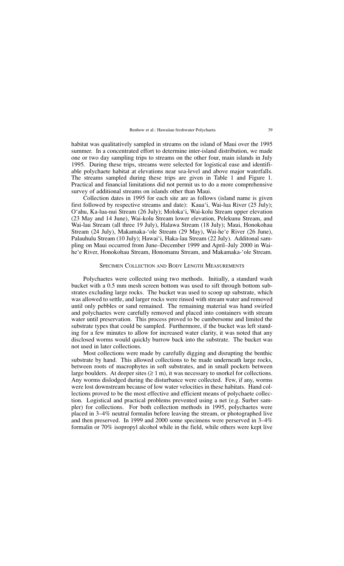habitat was qualitatively sampled in streams on the island of Maui over the 1995 summer. In a concentrated effort to determine inter-island distribution, we made one or two day sampling trips to streams on the other four, main islands in July 1995. During these trips, streams were selected for logistical ease and identifiable polychaete habitat at elevations near sea-level and above major waterfalls. The streams sampled during these trips are given in Table 1 and Figure 1. Practical and financial limitations did not permit us to do a more comprehensive survey of additional streams on islands other than Maui.

Collection dates in 1995 for each site are as follows (island name is given first followed by respective streams and date): Kaua'i, Wai-lua River (25 July); O'ahu, Ka-lua-nui Stream (26 July); Moloka'i, Wai-kolu Stream upper elevation (23 May and 14 June), Wai-kolu Stream lower elevation, Pelekunu Stream, and Wai-lau Stream (all three 19 July), Halawa Stream (18 July); Maui, Honokohau Stream (24 July), Makamaka-'ole Stream (29 May), Wai-he'e River (26 June), Palauhulu Stream (10 July); Hawai'i, Haka-lau Stream (22 July). Additonal sampling on Maui occurred from June–December 1999 and April–July 2000 in Waihe'e River, Honokohau Stream, Honomanu Stream, and Makamaka-'ole Stream.

## SPECIMEN COLLECTION AND BODY LENGTH MEASUREMENTS

Polychaetes were collected using two methods. Initially, a standard wash bucket with a 0.5 mm mesh screen bottom was used to sift through bottom substrates excluding large rocks. The bucket was used to scoop up substrate, which was allowed to settle, and larger rocks were rinsed with stream water and removed until only pebbles or sand remained. The remaining material was hand swirled and polychaetes were carefully removed and placed into containers with stream water until preservation. This process proved to be cumbersome and limited the substrate types that could be sampled. Furthermore, if the bucket was left standing for a few minutes to allow for increased water clarity, it was noted that any disclosed worms would quickly burrow back into the substrate. The bucket was not used in later collections.

Most collections were made by carefully digging and disrupting the benthic substrate by hand. This allowed collections to be made underneath large rocks, between roots of macrophytes in soft substrates, and in small pockets between large boulders. At deeper sites  $(≥ 1 m)$ , it was necessary to snorkel for collections. Any worms dislodged during the disturbance were collected. Few, if any, worms were lost downstream because of low water velocities in these habitats. Hand collections proved to be the most effective and efficient means of polychaete collection. Logistical and practical problems prevented using a net (e.g. Surber sampler) for collections. For both collection methods in 1995, polychaetes were placed in 3–4% neutral formalin before leaving the stream, or photographed live and then preserved. In 1999 and 2000 some specimens were perserved in 3–4% formalin or 70% isopropyl alcohol while in the field, while others were kept live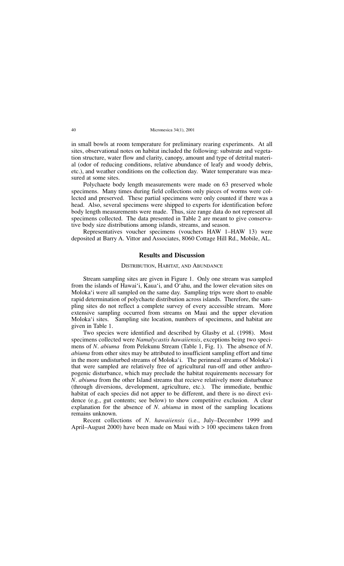in small bowls at room temperature for preliminary rearing experiments. At all sites, observational notes on habitat included the following: substrate and vegetation structure, water flow and clarity, canopy, amount and type of detrital material (odor of reducing conditions, relative abundance of leafy and woody debris, etc.), and weather conditions on the collection day. Water temperature was measured at some sites.

Polychaete body length measurements were made on 63 preserved whole specimens. Many times during field collections only pieces of worms were collected and preserved. These partial specimens were only counted if there was a head. Also, several specimens were shipped to experts for identification before body length measurements were made. Thus, size range data do not represent all specimens collected. The data presented in Table 2 are meant to give conservative body size distributions among islands, streams, and season.

Representatives voucher specimens (vouchers HAW 1–HAW 13) were deposited at Barry A. Vittor and Associates, 8060 Cottage Hill Rd., Mobile, AL.

## **Results and Discussion**

## DISTRIBUTION, HABITAT, AND ABUNDANCE

Stream sampling sites are given in Figure 1. Only one stream was sampled from the islands of Hawai'i, Kaua'i, and O'ahu, and the lower elevation sites on Moloka'i were all sampled on the same day. Sampling trips were short to enable rapid determination of polychaete distribution across islands. Therefore, the sampling sites do not reflect a complete survey of every accessible stream. More extensive sampling occurred from streams on Maui and the upper elevation Moloka'i sites. Sampling site location, numbers of specimens, and habitat are given in Table 1.

Two species were identified and described by Glasby et al. (1998). Most specimens collected were *Namalycastis hawaiiensis*, exceptions being two specimens of *N*. *abiuma* from Pelekunu Stream (Table 1, Fig. 1). The absence of *N*. *abiuma* from other sites may be attributed to insufficient sampling effort and time in the more undisturbed streams of Moloka'i. The perinneal streams of Moloka'i that were sampled are relatively free of agricultural run-off and other anthropogenic disturbance, which may preclude the habitat requirements necessary for *N*. *abiuma* from the other Island streams that recieve relatively more disturbance (through diversions, development, agriculture, etc.). The immediate, benthic habitat of each species did not apper to be different, and there is no direct evidence (e.g., gut contents; see below) to show competitive exclusion. A clear explanation for the absence of *N*. *abiuma* in most of the sampling locations remains unknown.

Recent collections of *N*. *hawaiiensis* (i.e., July–December 1999 and April–August 2000) have been made on Maui with > 100 specimens taken from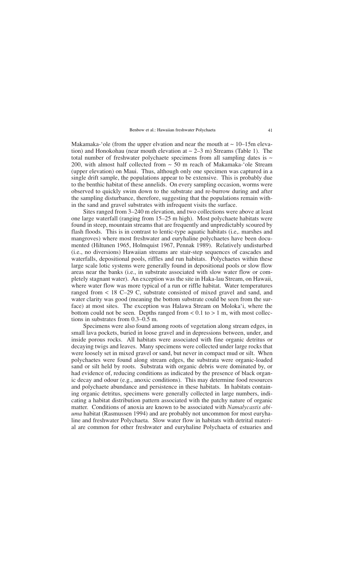Makamaka-'ole (from the upper elvation and near the mouth at  $\sim 10-15$ m elevation) and Honokohau (near mouth elevation at  $\sim$  2–3 m) Streams (Table 1). The total number of freshwater polychaete specimens from all sampling dates is  $\sim$ 200, with almost half collected from  $\sim$  50 m reach of Makamaka-'ole Stream (upper elevation) on Maui. Thus, although only one specimen was captured in a single drift sample, the populations appear to be extensive. This is probably due to the benthic habitat of these annelids. On every sampling occasion, worms were observed to quickly swim down to the substrate and re-burrow during and after the sampling disturbance, therefore, suggesting that the populations remain within the sand and gravel substrates with infrequent visits the surface.

Sites ranged from 3–240 m elevation, and two collections were above at least one large waterfall (ranging from 15–25 m high). Most polychaete habitats were found in steep, mountain streams that are frequently and unpredictably scoured by flash floods. This is in contrast to lentic-type aquatic habitats (i.e,. marshes and mangroves) where most freshwater and euryhaline polychaetes have been documented (Hiltunen 1965, Holmquist 1967, Pennak 1989). Relatively undisturbed (i.e., no diversions) Hawaiian streams are stair-step sequences of cascades and waterfalls, depositional pools, riffles and run habitats. Polychaetes within these large scale lotic systems were generally found in depositional pools or slow flow areas near the banks (i.e., in substrate associated with slow water flow or completely stagnant water). An exception was the site in Haka-lau Stream, on Hawaii, where water flow was more typical of a run or riffle habitat. Water temperatures ranged from < 18 C–29 C, substrate consisted of mixed gravel and sand, and water clarity was good (meaning the bottom substrate could be seen from the surface) at most sites. The exception was Halawa Stream on Moloka'i, where the bottom could not be seen. Depths ranged from  $< 0.1$  to  $> 1$  m, with most collections in substrates from 0.3–0.5 m.

Specimens were also found among roots of vegetation along stream edges, in small lava pockets, buried in loose gravel and in depressions between, under, and inside porous rocks. All habitats were associated with fine organic detritus or decaying twigs and leaves. Many specimens were collected under large rocks that were loosely set in mixed gravel or sand, but never in compact mud or silt. When polychaetes were found along stream edges, the substrata were organic-loaded sand or silt held by roots. Substrata with organic debris were dominated by, or had evidence of, reducing conditions as indicated by the presence of black organic decay and odour (e.g., anoxic conditions). This may determine food resources and polychaete abundance and persistence in these habitats. In habitats containing organic detritus, specimens were generally collected in large numbers, indicating a habitat distribution pattern associated with the patchy nature of organic matter. Conditions of anoxia are known to be associated with *Namalycastis abiuma* habitat (Rasmussen 1994) and are probably not uncommon for most euryhaline and freshwater Polychaeta. Slow water flow in habitats with detrital material are common for other freshwater and euryhaline Polychaeta of estuaries and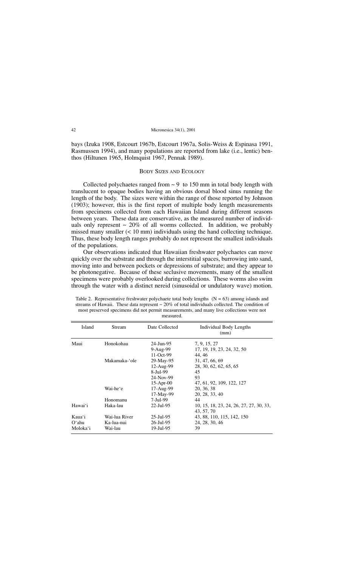bays (Izuka 1908, Estcourt 1967b, Estcourt 1967a, Solis-Weiss & Espinasa 1991, Rasmussen 1994), and many populations are reported from lake (i.e., lentic) benthos (Hiltunen 1965, Holmquist 1967, Pennak 1989).

## BODY SIZES AND ECOLOGY

Collected polychaetes ranged from  $\sim$  9 to 150 mm in total body length with translucent to opaque bodies having an obvious dorsal blood sinus running the length of the body. The sizes were within the range of those reported by Johnson (1903); however, this is the first report of multiple body length measurements from specimens collected from each Hawaiian Island during different seasons between years. These data are conservative, as the measured number of individuals only represent  $\sim 20\%$  of all worms collected. In addition, we probably missed many smaller  $(< 10 \text{ mm})$  individuals using the hand collecting technique. Thus, these body length ranges probably do not represent the smallest individuals of the populations.

Our observations indicated that Hawaiian freshwater polychaetes can move quickly over the substrate and through the interstitial spaces, burrowing into sand, moving into and between pockets or depressions of substrate; and they appear to be photonegative. Because of these seclusive movements, many of the smallest specimens were probably overlooked during collections. These worms also swim through the water with a distinct nereid (sinusoidal or undulatory wave) motion.

Table 2. Representative freshwater polychaete total body lengths  $(N = 63)$  among islands and streams of Hawaii. These data represent  $\sim 20\%$  of total individuals collected. The condition of most preserved specimens did not permit measurements, and many live collections were not measured.

| Island   | Stream        | Date Collected | Individual Body Lengths<br>(mm)         |
|----------|---------------|----------------|-----------------------------------------|
| Maui     | Honokohau     | 24-Jun-95      | 7, 9, 15, 27                            |
|          |               | 9-Aug-99       | 17, 19, 19, 23, 24, 32, 50              |
|          |               | 11-Oct-99      | 44.46                                   |
|          | Makamaka-'ole | 29-May-95      | 31, 47, 66, 69                          |
|          |               | $12-Aug-99$    | 28, 30, 62, 62, 65, 65                  |
|          |               | 8-Jul-99       | 45                                      |
|          |               | 24-Nov-99      | 93                                      |
|          |               | $15-Apr-00$    | 47, 61, 92, 109, 122, 127               |
|          | Wai-he'e      | 17-Aug-99      | 20, 36, 38                              |
|          |               | 17-May-99      | 20, 28, 33, 40                          |
|          | Honomanu      | 7-Jul-99       | 44                                      |
| Hawai'i  | Haka-lau      | $22$ -Jul-95   | 10, 15, 18, 23, 24, 26, 27, 27, 30, 33, |
|          |               |                | 43, 57, 70                              |
| Kaua'i   | Wai-lua River | $25$ -Jul-95   | 43, 88, 110, 115, 142, 150              |
| O'ahu    | Ka-lua-nui    | 26-Jul-95      | 24, 28, 30, 46                          |
| Moloka'i | Wai-lau       | 19-Jul-95      | 39                                      |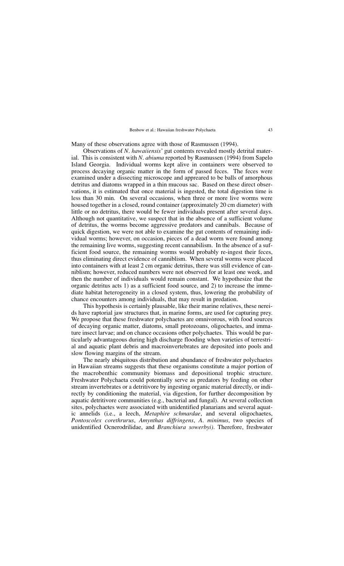Many of these observations agree with those of Rasmussen (1994).

Observations of *N*. *hawaiiensis*' gut contents revealed mostly detrital material. This is consistent with *N*. *abiuma* reported by Rasmussen (1994) from Sapelo Island Georgia. Individual worms kept alive in containers were observed to process decaying organic matter in the form of passed feces. The feces were examined under a dissecting microscope and appreared to be balls of amorphous detritus and diatoms wrapped in a thin mucous sac. Based on these direct observations, it is estimated that once material is ingested, the total digestion time is less than 30 min. On several occasions, when three or more live worms were housed together in a closed, round container (approximately 20 cm diameter) with little or no detritus, there would be fewer individuals present after several days. Although not quantitative, we suspect that in the absence of a sufficient volume of detritus, the worms become aggressive predators and cannibals. Because of quick digestion, we were not able to examine the gut contents of remaining individual worms; however, on occasion, pieces of a dead worm were found among the remaining live worms, suggesting recent cannabilism. In the absence of a sufficient food source, the remaining worms would probably re-ingest their feces, thus eliminating direct evidence of canniblism. When several worms were placed into containers with at least 2 cm organic detritus, there was still evidence of canniblism; however, reduced numbers were not observed for at least one week, and then the number of individuals would remain constant. We hypothesize that the organic detritus acts 1) as a sufficient food source, and 2) to increase the immediate habitat heterogeneity in a closed system, thus, lowering the probability of chance encounters among individuals, that may result in predation.

This hypothesis is certainly plausable, like their marine relatives, these nereids have raptorial jaw structures that, in marine forms, are used for capturing prey. We propose that these freshwater polychaetes are omnivorous, with food sources of decaying organic matter, diatoms, small protozoans, oligochaetes, and immature insect larvae; and on chance occasions other polychaetes. This would be particularly advantageous during high discharge flooding when varieties of terrestrial and aquatic plant debris and macroinvertebrates are deposited into pools and slow flowing margins of the stream.

The nearly ubiquitous distribution and abundance of freshwater polychaetes in Hawaiian streams suggests that these organisms constitute a major portion of the macrobenthic community biomass and depositional trophic structure. Freshwater Polychaeta could potentially serve as predators by feeding on other stream invertebrates or a detritivore by ingesting organic material directly, or indirectly by conditioning the material, via digestion, for further decomposition by aquatic detritivore communities (e.g., bacterial and fungal). At several collection sites, polychaetes were associated with unidentified planarians and several aquatic annelids (i.e., a leech, *Metaphire schmardae*, and several oligochaetes, *Pontoscolex corethrurus*, *Amynthas diffringens*, *A*. *minimus*, two species of unidentified Ocnerodrilidae, and *Branchiura sowerbyi)*. Therefore, freshwater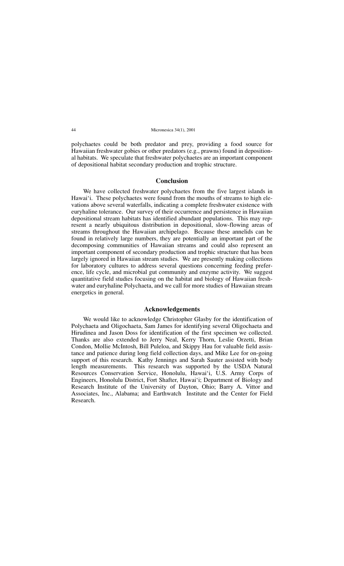polychaetes could be both predator and prey, providing a food source for Hawaiian freshwater gobies or other predators (e.g., prawns) found in depositional habitats. We speculate that freshwater polychaetes are an important component of depositional habitat secondary production and trophic structure.

## **Conclusion**

We have collected freshwater polychaetes from the five largest islands in Hawai'i. These polychaetes were found from the mouths of streams to high elevations above several waterfalls, indicating a complete freshwater existence with euryhaline tolerance. Our survey of their occurrence and persistence in Hawaiian depositional stream habitats has identified abundant populations. This may represent a nearly ubiquitous distribution in depositional, slow-flowing areas of streams throughout the Hawaiian archipelago. Because these annelids can be found in relatively large numbers, they are potentially an important part of the decomposing communities of Hawaiian streams and could also represent an important component of secondary production and trophic structure that has been largely ignored in Hawaiian stream studies. We are presently making collections for laboratory cultures to address several questions concerning feeding preference, life cycle, and microbial gut community and enzyme activity. We suggest quantitative field studies focusing on the habitat and biology of Hawaiian freshwater and euryhaline Polychaeta, and we call for more studies of Hawaiian stream energetics in general.

## **Acknowledgements**

We would like to acknowledge Christopher Glasby for the identification of Polychaeta and Oligochaeta, Sam James for identifying several Oligochaeta and Hirudinea and Jason Doss for identification of the first specimen we collected. Thanks are also extended to Jerry Neal, Kerry Thorn, Leslie Orzetti, Brian Condon, Mollie McIntosh, Bill Puleloa, and Skippy Hau for valuable field assistance and patience during long field collection days, and Mike Lee for on-going support of this research. Kathy Jennings and Sarah Sauter assisted with body length measurements. This research was supported by the USDA Natural Resources Conservation Service, Honolulu, Hawai'i, U.S. Army Corps of Engineers, Honolulu District, Fort Shafter, Hawai'i; Department of Biology and Research Institute of the University of Dayton, Ohio; Barry A. Vittor and Associates, Inc., Alabama; and Earthwatch Institute and the Center for Field Research.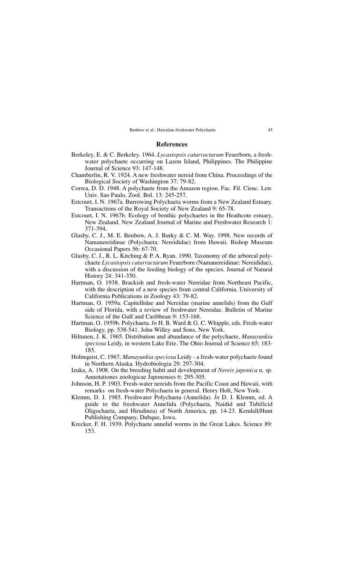## **References**

- Berkeley, E. & C. Berkeley. 1964. *Lycastopsis catarractarum* Feuerborn, a freshwater polychaete occurring on Luzon Island, Philippines. The Philippine Journal of Science 93: 147-148.
- Chamberlin, R. V. 1924. A new freshwater nereid from China. Proceedings of the Biological Society of Washington 37: 79-82.
- Correa, D. D. 1948. A polychaete from the Amazon region. Fac. Fil. Cienc. Letr. Univ. Sao Paulo, Zool. Bol. 13: 245-257.
- Estcourt, I. N. 1967a. Burrowing Polychaeta worms from a New Zealand Estuary. Transactions of the Royal Society of New Zealand 9: 65-78.
- Estcourt, I. N. 1967b. Ecology of benthic polychaetes in the Heathcote estuary, New Zealand. New Zealand Journal of Marine and Freshwater Research 1: 371-394.
- Glasby, C. J., M. E. Benbow, A. J. Burky & C. M. Way. 1998. New records of Namanereidinae (Polychaeta: Nereididae) from Hawaii. Bishop Museum Occasional Papers 56: 67-70.
- Glasby, C. J., R. L. Kitching & P. A. Ryan. 1990. Taxonomy of the arboreal polychaete *Lycastopsis catarractarum* Feuerborn (Namanereidinae: Nereididae), with a discussion of the feeding biology of the species. Journal of Natural History 24: 341-350.
- Hartman, O. 1938. Brackish and fresh-water Nereidae from Northeast Pacific, with the description of a new species from central California. University of California Publications in Zoology 43: 79-82.
- Hartman, O. 1959a. Capitellidae and Nereidae (marine annelids) from the Gulf side of Florida, with a review of freshwater Nereidae. Bulletin of Marine Science of the Gulf and Caribbean 9: 153-168.
- Hartman, O. 1959b. Polychaeta. *In* H. B. Ward & G. C. Whipple, eds. Fresh-water Biology, pp. 538-541. John Willey and Sons, New York.
- Hiltunen, J. K. 1965. Distribution and abundance of the polychaete, *Manayunkia speciosa* Leidy, in western Lake Erie. The Ohio Journal of Science 65: 183- 185.
- Holmquist, C. 1967. *Manayunkia speciosa* Leidy a fresh-water polychaete found in Northern Alaska. Hydrobiologia 29: 297-304.
- Izuka, A. 1908. On the breeding habit and development of *Nereis japonica* n. sp. Annotationes zoologicae Japonenses 6: 295-305.
- Johnson, H. P. 1903. Fresh-water nereids from the Pacific Coast and Hawaii, with remarks on fresh-water Polychaeta in general. Henry Holt, New York.
- Klemm, D. J. 1985. Freshwater Polychaeta (Annelida). *In* D. J. Klemm, ed. A guide to the freshwater Annelida (Polychaeta, Naidid and Tubificid Oligochaeta, and Hirudinea) of North America, pp. 14-23. Kendall/Hunt Publishing Company, Dubque, Iowa.
- Krecker, F. H. 1939. Polychaete annelid worms in the Great Lakes. Science 89: 153.